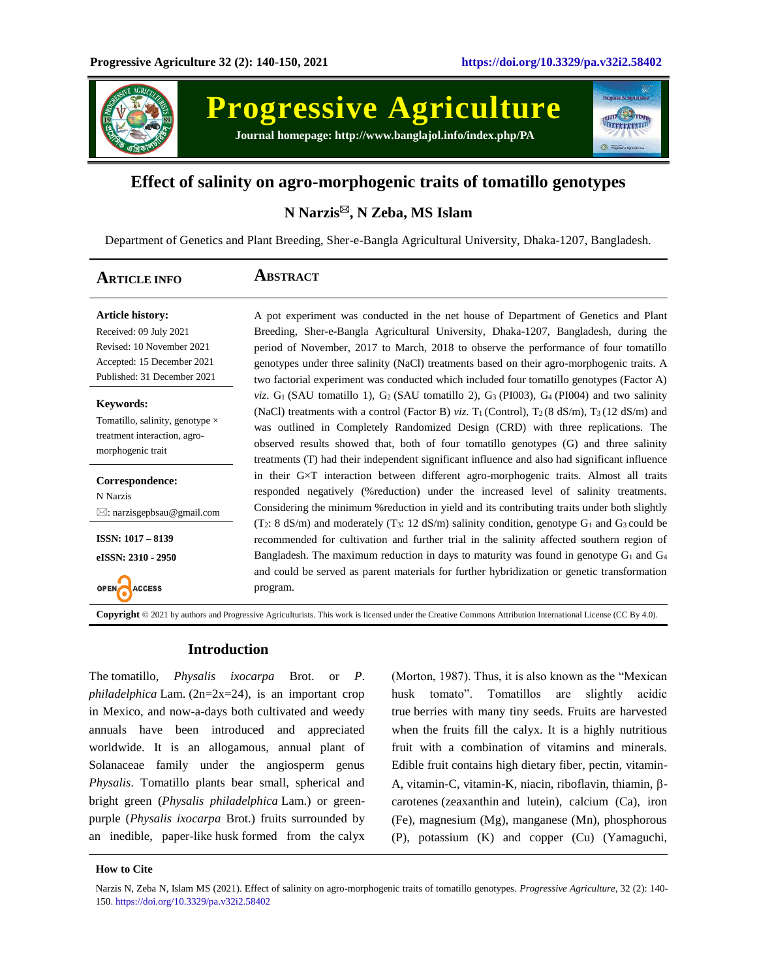

**Progressive Agriculture Journal homepage: http://www.banglajol.info/index.php/PA**



# **Effect of salinity on agro-morphogenic traits of tomatillo genotypes**

# **N Narzis, N Zeba, MS Islam**

Department of Genetics and Plant Breeding, Sher-e-Bangla Agricultural University, Dhaka-1207, Bangladesh.

| <b>ARTICLE INFO</b>                                                                                                                         | ABSTRACT                                                                                                                                                                                                                                                                                                                                                                                                                                                                                          |
|---------------------------------------------------------------------------------------------------------------------------------------------|---------------------------------------------------------------------------------------------------------------------------------------------------------------------------------------------------------------------------------------------------------------------------------------------------------------------------------------------------------------------------------------------------------------------------------------------------------------------------------------------------|
| <b>Article history:</b><br>Received: 09 July 2021<br>Revised: 10 November 2021<br>Accepted: 15 December 2021<br>Published: 31 December 2021 | A pot experiment was conducted in the net house of Department of Genetics and Plant<br>Breeding, Sher-e-Bangla Agricultural University, Dhaka-1207, Bangladesh, during the<br>period of November, 2017 to March, 2018 to observe the performance of four tomatillo<br>genotypes under three salinity (NaCl) treatments based on their agro-morphogenic traits. A<br>two factorial experiment was conducted which included four tomatillo genotypes (Factor A)                                     |
| <b>Keywords:</b><br>Tomatillo, salinity, genotype $\times$<br>treatment interaction, agro-<br>morphogenic trait                             | <i>viz.</i> $G_1$ (SAU tomatillo 1), $G_2$ (SAU tomatillo 2), $G_3$ (PI003), $G_4$ (PI004) and two salinity<br>(NaCl) treatments with a control (Factor B) viz. $T_1$ (Control), $T_2$ (8 dS/m), $T_3$ (12 dS/m) and<br>was outlined in Completely Randomized Design (CRD) with three replications. The<br>observed results showed that, both of four tomatillo genotypes (G) and three salinity<br>treatments (T) had their independent significant influence and also had significant influence |
| Correspondence:<br>N Narzis<br>$\boxtimes$ : narzisgepbsau@gmail.com                                                                        | in their G×T interaction between different agro-morphogenic traits. Almost all traits<br>responded negatively (%reduction) under the increased level of salinity treatments.<br>Considering the minimum % reduction in yield and its contributing traits under both slightly<br>$(T_2: 8 \text{ dS/m})$ and moderately $(T_3: 12 \text{ dS/m})$ salinity condition, genotype $G_1$ and $G_3$ could be                                                                                             |
| $ISSN: 1017 - 8139$<br>eISSN: 2310 - 2950<br><b>ACCESS</b>                                                                                  | recommended for cultivation and further trial in the salinity affected southern region of<br>Bangladesh. The maximum reduction in days to maturity was found in genotype $G_1$ and $G_4$<br>and could be served as parent materials for further hybridization or genetic transformation<br>program.                                                                                                                                                                                               |

**Copyright** © 2021 by authors and Progressive Agriculturists. This work is licensed under the Creative Commons Attribution International License (CC By 4.0).

## **Introduction**

The tomatillo, *Physalis ixocarpa* Brot. or *P*. *philadelphica* Lam. (2n=2x=24), is an important crop in Mexico, and now-a-days both cultivated and weedy annuals have been introduced and appreciated worldwide. It is an allogamous, annual plant of Solanaceae family under the angiosperm genus *Physalis*. Tomatillo plants bear small, spherical and bright green (*Physalis philadelphica* Lam.) or greenpurple (*Physalis ixocarpa* Brot.) fruits surrounded by an inedible, paper-like husk formed from the calyx

(Morton, 1987). Thus, it is also known as the "Mexican husk tomato". Tomatillos are slightly acidic true berries with many tiny seeds. Fruits are harvested when the fruits fill the calyx. It is a highly nutritious fruit with a combination of vitamins and minerals. Edible fruit contains high dietary fiber, pectin, vitamin-A, vitamin-C, vitamin-K, niacin, riboflavin, thiamin,  $\beta$ carotenes (zeaxanthin and lutein), calcium (Ca), iron (Fe), magnesium (Mg), manganese (Mn), phosphorous (P), potassium (K) and copper (Cu) (Yamaguchi,

### **How to Cite**

Narzis N, Zeba N, Islam MS (2021). Effect of salinity on agro-morphogenic traits of tomatillo genotypes. *Progressive Agriculture*, 32 (2): 140- 150. https://doi.org/10.3329/pa.v32i2.58402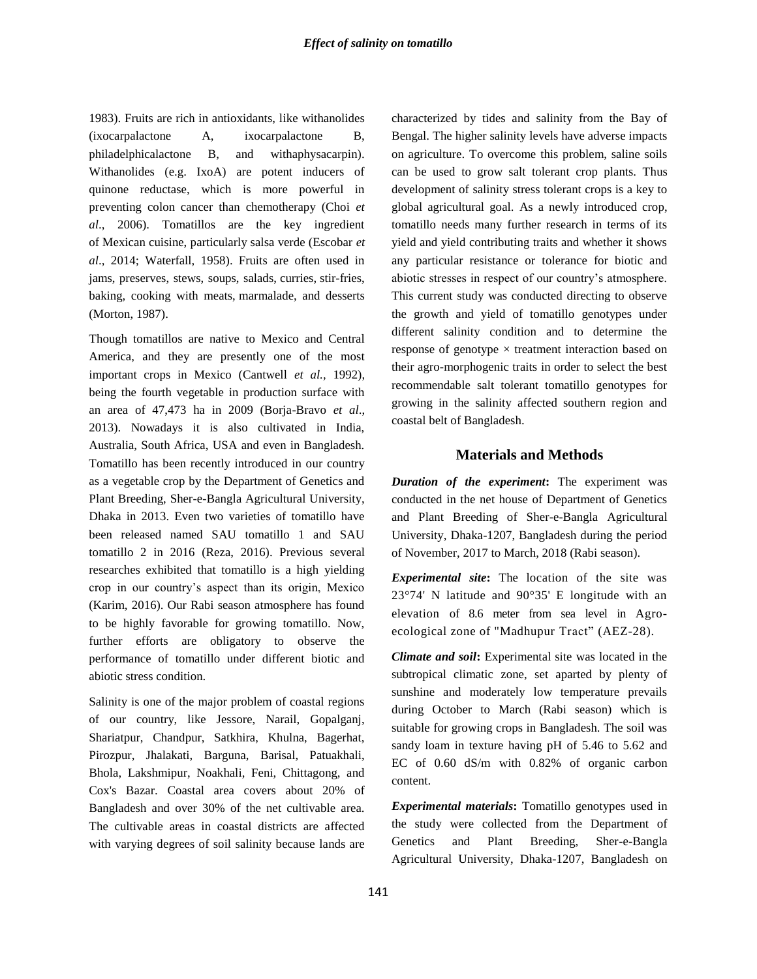1983). Fruits are rich in antioxidants, like withanolides (ixocarpalactone A, ixocarpalactone B, philadelphicalactone B, and withaphysacarpin). Withanolides (e.g. IxoA) are potent inducers of quinone reductase, which is more powerful in preventing colon cancer than chemotherapy (Choi *et al*., 2006). Tomatillos are the key ingredient of Mexican cuisine, particularly salsa verde (Escobar *et al*., 2014; Waterfall, 1958). Fruits are often used in jams, preserves, stews, soups, salads, curries, stir-fries, baking, cooking with meats, marmalade, and desserts (Morton, 1987).

Though tomatillos are native to Mexico and Central America, and they are presently one of the most important crops in Mexico (Cantwell *et al.,* 1992), being the fourth vegetable in production surface with an area of 47,473 ha in 2009 (Borja-Bravo *et al*., 2013). Nowadays it is also cultivated in India, Australia, South Africa, USA and even in Bangladesh. Tomatillo has been recently introduced in our country as a vegetable crop by the Department of Genetics and Plant Breeding, Sher-e-Bangla Agricultural University, Dhaka in 2013. Even two varieties of tomatillo have been released named SAU tomatillo 1 and SAU tomatillo 2 in 2016 (Reza, 2016). Previous several researches exhibited that tomatillo is a high yielding crop in our country's aspect than its origin, Mexico (Karim, 2016). Our Rabi season atmosphere has found to be highly favorable for growing tomatillo. Now, further efforts are obligatory to observe the performance of tomatillo under different biotic and abiotic stress condition.

Salinity is one of the major problem of coastal regions of our country, like Jessore, Narail, Gopalganj, Shariatpur, Chandpur, Satkhira, Khulna, Bagerhat, Pirozpur, Jhalakati, Barguna, Barisal, Patuakhali, Bhola, Lakshmipur, Noakhali, Feni, Chittagong, and Cox's Bazar. Coastal area covers about 20% of Bangladesh and over 30% of the net cultivable area. The cultivable areas in coastal districts are affected with varying degrees of soil salinity because lands are

characterized by tides and salinity from the Bay of Bengal. The higher salinity levels have adverse impacts on agriculture. To overcome this problem, saline soils can be used to grow salt tolerant crop plants. Thus development of salinity stress tolerant crops is a key to global agricultural goal. As a newly introduced crop, tomatillo needs many further research in terms of its yield and yield contributing traits and whether it shows any particular resistance or tolerance for biotic and abiotic stresses in respect of our country's atmosphere. This current study was conducted directing to observe the growth and yield of tomatillo genotypes under different salinity condition and to determine the response of genotype × treatment interaction based on their agro-morphogenic traits in order to select the best recommendable salt tolerant tomatillo genotypes for growing in the salinity affected southern region and coastal belt of Bangladesh.

# **Materials and Methods**

*Duration of the experiment***:** The experiment was conducted in the net house of Department of Genetics and Plant Breeding of Sher-e-Bangla Agricultural University, Dhaka-1207, Bangladesh during the period of November, 2017 to March, 2018 (Rabi season).

*Experimental site***:** The location of the site was 23°74' N latitude and 90°35' E longitude with an elevation of 8.6 meter from sea level in Agroecological zone of "Madhupur Tract" (AEZ-28).

*Climate and soil***:** Experimental site was located in the subtropical climatic zone, set aparted by plenty of sunshine and moderately low temperature prevails during October to March (Rabi season) which is suitable for growing crops in Bangladesh. The soil was sandy loam in texture having pH of 5.46 to 5.62 and EC of 0.60 dS/m with 0.82% of organic carbon content.

*Experimental materials***:** Tomatillo genotypes used in the study were collected from the Department of Genetics and Plant Breeding, Sher-e-Bangla Agricultural University, Dhaka-1207, Bangladesh on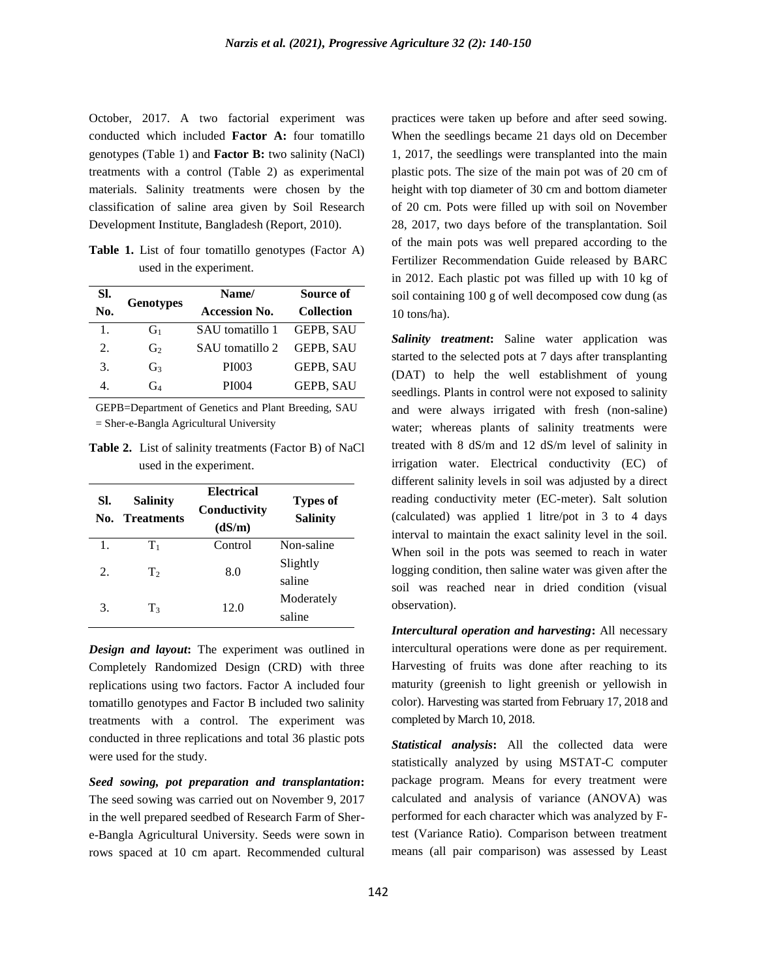October, 2017. A two factorial experiment was conducted which included **Factor A:** four tomatillo genotypes (Table 1) and **Factor B:** two salinity (NaCl) treatments with a control (Table 2) as experimental materials. Salinity treatments were chosen by the classification of saline area given by Soil Research Development Institute, Bangladesh (Report, 2010).

Table 1. List of four tomatillo genotypes (Factor A) used in the experiment.

| SI. |                  | Name/                |                   |  |  |  |
|-----|------------------|----------------------|-------------------|--|--|--|
| No. | <b>Genotypes</b> | <b>Accession No.</b> | <b>Collection</b> |  |  |  |
| 1.  | $G_1$            | SAU tomatillo 1      | GEPB, SAU         |  |  |  |
| 2.  | G <sub>2</sub>   | SAU tomatillo 2      | <b>GEPB, SAU</b>  |  |  |  |
| 3.  | G3               | PI003                | GEPB, SAU         |  |  |  |
| 4   | G4               | PI004                | GEPB, SAU         |  |  |  |

GEPB=Department of Genetics and Plant Breeding, SAU = Sher-e-Bangla Agricultural University

**Table 2.** List of salinity treatments (Factor B) of NaCl used in the experiment.

| SI.<br>No. | <b>Salinity</b><br><b>Treatments</b> | <b>Electrical</b><br>Conductivity<br>(dS/m) | <b>Types of</b><br><b>Salinity</b> |
|------------|--------------------------------------|---------------------------------------------|------------------------------------|
| 1.         | $\rm{T}_1$                           | Control                                     | Non-saline                         |
| 2.         | T <sub>2</sub>                       | 8.0                                         | Slightly                           |
|            |                                      |                                             | saline                             |
|            | T <sub>3</sub>                       | 12.0                                        | Moderately                         |
| 3.         |                                      |                                             | saline                             |

*Design and layout***:** The experiment was outlined in Completely Randomized Design (CRD) with three replications using two factors. Factor A included four tomatillo genotypes and Factor B included two salinity treatments with a control. The experiment was conducted in three replications and total 36 plastic pots were used for the study.

*Seed sowing, pot preparation and transplantation***:** The seed sowing was carried out on November 9, 2017 in the well prepared seedbed of Research Farm of Shere-Bangla Agricultural University. Seeds were sown in rows spaced at 10 cm apart. Recommended cultural

practices were taken up before and after seed sowing. When the seedlings became 21 days old on December 1, 2017, the seedlings were transplanted into the main plastic pots. The size of the main pot was of 20 cm of height with top diameter of 30 cm and bottom diameter of 20 cm. Pots were filled up with soil on November 28, 2017, two days before of the transplantation. Soil of the main pots was well prepared according to the Fertilizer Recommendation Guide released by BARC in 2012. Each plastic pot was filled up with 10 kg of soil containing 100 g of well decomposed cow dung (as 10 tons/ha).

*Salinity treatment***:** Saline water application was started to the selected pots at 7 days after transplanting (DAT) to help the well establishment of young seedlings. Plants in control were not exposed to salinity and were always irrigated with fresh (non-saline) water; whereas plants of salinity treatments were treated with 8 dS/m and 12 dS/m level of salinity in irrigation water. Electrical conductivity (EC) of different salinity levels in soil was adjusted by a direct reading conductivity meter (EC-meter). Salt solution (calculated) was applied 1 litre/pot in 3 to 4 days interval to maintain the exact salinity level in the soil. When soil in the pots was seemed to reach in water logging condition, then saline water was given after the soil was reached near in dried condition (visual observation).

*Intercultural operation and harvesting***:** All necessary intercultural operations were done as per requirement. Harvesting of fruits was done after reaching to its maturity (greenish to light greenish or yellowish in color). Harvesting was started from February 17, 2018 and completed by March 10, 2018.

*Statistical analysis***:** All the collected data were statistically analyzed by using MSTAT-C computer package program. Means for every treatment were calculated and analysis of variance (ANOVA) was performed for each character which was analyzed by Ftest (Variance Ratio). Comparison between treatment means (all pair comparison) was assessed by Least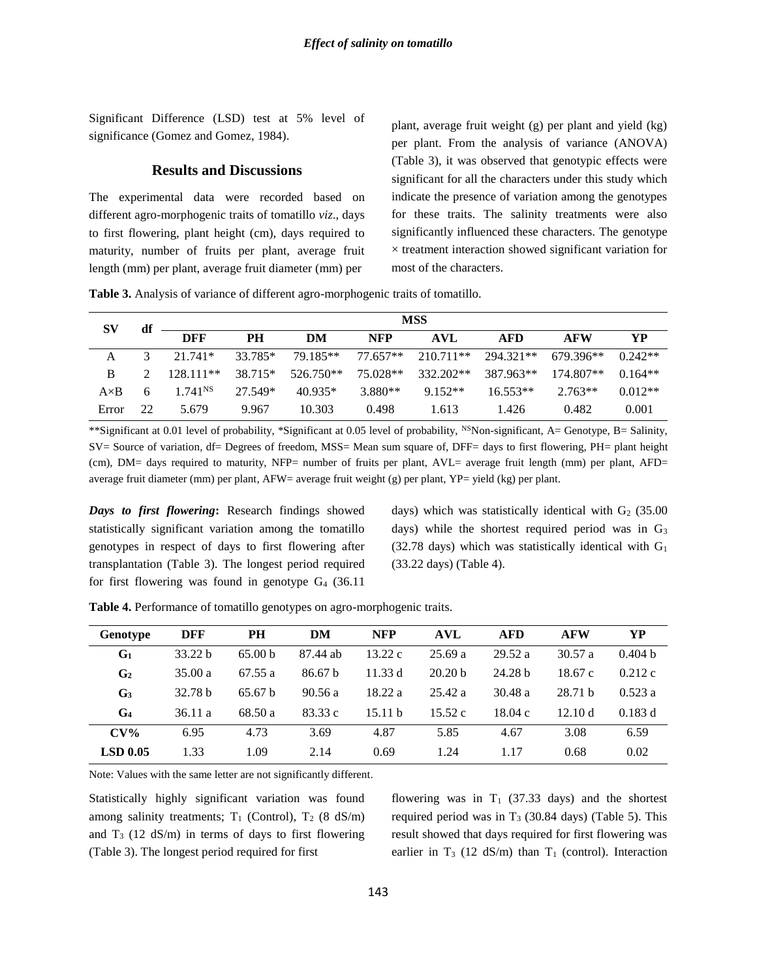Significant Difference (LSD) test at 5% level of significance (Gomez and Gomez, 1984).

## **Results and Discussions**

The experimental data were recorded based on different agro-morphogenic traits of tomatillo *viz*., days to first flowering, plant height (cm), days required to maturity, number of fruits per plant, average fruit length (mm) per plant, average fruit diameter (mm) per

plant, average fruit weight (g) per plant and yield (kg) per plant. From the analysis of variance (ANOVA) (Table 3), it was observed that genotypic effects were significant for all the characters under this study which indicate the presence of variation among the genotypes for these traits. The salinity treatments were also significantly influenced these characters. The genotype  $\times$  treatment interaction showed significant variation for most of the characters.

**Table 3.** Analysis of variance of different agro-morphogenic traits of tomatillo.

| SV           | df | <b>MSS</b>          |           |                   |            |           |            |            |           |  |  |  |  |
|--------------|----|---------------------|-----------|-------------------|------------|-----------|------------|------------|-----------|--|--|--|--|
|              |    | <b>DFF</b>          | <b>PH</b> | DM                | <b>NFP</b> | AVL       | AFD        | <b>AFW</b> | YP.       |  |  |  |  |
|              |    | $3 \t 21.741*$      | 33.785*   | 79.185**          | 77.657**   | 210.711** | 294.321**  | 679.396**  | $0.242**$ |  |  |  |  |
| B            |    | $128111**$          |           | 38.715* 526.750** | 75.028**   | 332.202** | 387.963**  | 174.807**  | $0.164**$ |  |  |  |  |
| $A \times B$ |    | 1.741 <sup>NS</sup> | 27.549*   | 40.935*           | 3.880**    | 9.152**   | $16.553**$ | $2.763**$  | $0.012**$ |  |  |  |  |
| Error        | 22 | 5.679               | 9.967     | 10.303            | 0.498      | 1.613     | 1.426      | 0.482      | 0.001     |  |  |  |  |

\*\*Significant at 0.01 level of probability, \*Significant at 0.05 level of probability, NSNon-significant, A= Genotype, B= Salinity, SV= Source of variation, df= Degrees of freedom, MSS= Mean sum square of, DFF= days to first flowering, PH= plant height (cm), DM= days required to maturity, NFP= number of fruits per plant, AVL= average fruit length (mm) per plant, AFD= average fruit diameter (mm) per plant, AFW= average fruit weight (g) per plant, YP= yield (kg) per plant.

*Days to first flowering***:** Research findings showed statistically significant variation among the tomatillo genotypes in respect of days to first flowering after transplantation (Table 3). The longest period required for first flowering was found in genotype  $G_4$  (36.11)

days) which was statistically identical with  $G_2$  (35.00 days) while the shortest required period was in  $G_3$  $(32.78$  days) which was statistically identical with  $G<sub>1</sub>$ (33.22 days) (Table 4).

| <b>Genotype</b> | DFF                | PН                 | DM       | <b>NFP</b> | <b>AVL</b>         | <b>AFD</b>         | <b>AFW</b>         | YP                 |
|-----------------|--------------------|--------------------|----------|------------|--------------------|--------------------|--------------------|--------------------|
| G <sub>1</sub>  | 33.22 <sub>b</sub> | 65.00 <sub>b</sub> | 87.44 ab | 13.22c     | 25.69a             | 29.52a             | 30.57a             | 0.404 <sub>b</sub> |
| G <sub>2</sub>  | 35.00a             | 67.55a             | 86.67 b  | 11.33 d    | 20.20 <sub>b</sub> | 24.28 <sub>b</sub> | 18.67c             | 0.212c             |
| G <sub>3</sub>  | 32.78 <sub>b</sub> | 65.67 <sub>b</sub> | 90.56a   | 18.22 a    | 25.42a             | 30.48a             | 28.71 <sub>b</sub> | 0.523a             |
| G <sub>4</sub>  | 36.11 a            | 68.50 a            | 83.33 c  | 15.11 h    | 15.52c             | 18.04c             | 12.10 d            | 0.183 d            |
| $CV\%$          | 6.95               | 4.73               | 3.69     | 4.87       | 5.85               | 4.67               | 3.08               | 6.59               |
| $LSD$ 0.05      | 1.33               | 1.09               | 2.14     | 0.69       | 1.24               | 1.17               | 0.68               | 0.02               |

**Table 4.** Performance of tomatillo genotypes on agro-morphogenic traits.

Note: Values with the same letter are not significantly different.

Statistically highly significant variation was found among salinity treatments;  $T_1$  (Control),  $T_2$  (8 dS/m) and  $T_3$  (12 dS/m) in terms of days to first flowering (Table 3). The longest period required for first

flowering was in  $T_1$  (37.33 days) and the shortest required period was in  $T_3$  (30.84 days) (Table 5). This result showed that days required for first flowering was earlier in T<sub>3</sub> (12 dS/m) than T<sub>1</sub> (control). Interaction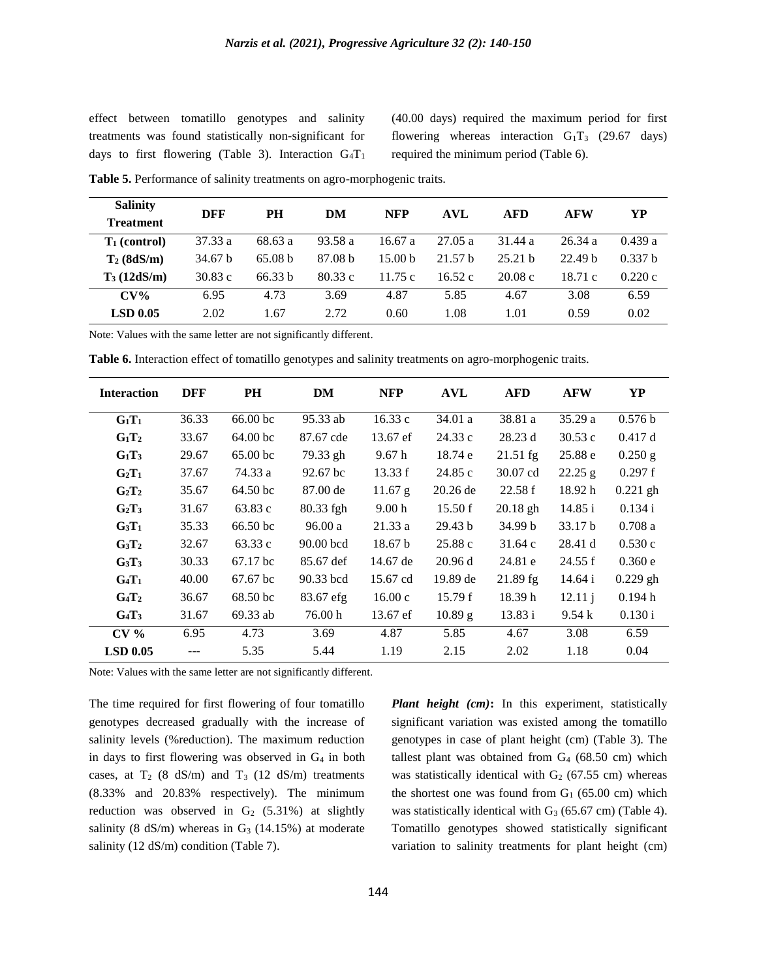effect between tomatillo genotypes and salinity treatments was found statistically non-significant for days to first flowering (Table 3). Interaction  $G_4T_1$ 

(40.00 days) required the maximum period for first flowering whereas interaction  $G_1T_3$  (29.67 days) required the minimum period (Table 6).

| <b>Salinity</b>  | DFF                | <b>PH</b>          | DM                 | <b>NFP</b>         | <b>AVL</b> | <b>AFD</b> | <b>AFW</b>         | YP     |  |
|------------------|--------------------|--------------------|--------------------|--------------------|------------|------------|--------------------|--------|--|
| <b>Treatment</b> |                    |                    |                    |                    |            |            |                    |        |  |
| $T_1$ (control)  | 37.33 a            | 68.63 a            | 93.58 a            | 16.67a             | 27.05 a    | 31.44 a    | 26.34 a            | 0.439a |  |
| $T_2$ (8dS/m)    | 34.67 <sub>b</sub> | 65.08 <sub>b</sub> | 87.08 <sub>b</sub> | 15.00 <sub>b</sub> | 21.57 h    | 25.21 h    | 22.49 <sub>b</sub> | 0.337h |  |
| $T_3(12dS/m)$    | 30.83c             | 66.33 b            | 80.33c             | 11.75c             | 16.52c     | 20.08c     | 18.71c             | 0.220c |  |
| $CV\%$           | 6.95               | 4.73               | 3.69               | 4.87               | 5.85       | 4.67       | 3.08               | 6.59   |  |
| $LSD$ 0.05       | 2.02               | 1.67               | 2.72               | 0.60               | 1.08       | 1.01       | 0.59               | 0.02   |  |

**Table 5.** Performance of salinity treatments on agro-morphogenic traits.

Note: Values with the same letter are not significantly different.

**Table 6.** Interaction effect of tomatillo genotypes and salinity treatments on agro-morphogenic traits.

| <b>Interaction</b>            | <b>DFF</b> | <b>PH</b>             | DM          | <b>NFP</b>         | <b>AVL</b>         | <b>AFD</b> | <b>AFW</b>         | YP         |
|-------------------------------|------------|-----------------------|-------------|--------------------|--------------------|------------|--------------------|------------|
| $G_1T_1$                      | 36.33      | 66.00 bc              | 95.33 ab    | 16.33c             | 34.01 a            | 38.81 a    | 35.29a             | 0.576 b    |
| $G_1T_2$                      | 33.67      | 64.00 <sub>bc</sub>   | 87.67 cde   | 13.67 ef           | 24.33 c            | 28.23 d    | 30.53c             | 0.417 d    |
| $G_1T_3$                      | 29.67      | 65.00 <sub>bc</sub>   | 79.33 gh    | 9.67h              | 18.74 e            | $21.51$ fg | 25.88 e            | $0.250$ g  |
| $G_2T_1$                      | 37.67      | 74.33 a               | $92.67$ bc  | 13.33 f            | 24.85c             | 30.07 cd   | $22.25$ g          | 0.297f     |
| $G_2T_2$                      | 35.67      | 64.50 bc              | 87.00 de    | 11.67 g            | $20.26$ de         | 22.58f     | 18.92 h            | $0.221$ gh |
| $G_2T_3$                      | 31.67      | 63.83c                | $80.33$ fgh | 9.00 <sub>h</sub>  | 15.50 f            | $20.18$ gh | 14.85 i            | 0.134 i    |
| $G_3T_1$                      | 35.33      | $66.50 \,\mathrm{bc}$ | 96.00a      | 21.33a             | 29.43 <sub>b</sub> | 34.99 b    | 33.17 <sub>b</sub> | 0.708a     |
| $G_3T_2$                      | 32.67      | 63.33 c               | $90.00$ bcd | 18.67 <sub>b</sub> | 25.88c             | 31.64c     | 28.41 d            | 0.530c     |
| G <sub>3</sub> T <sub>3</sub> | 30.33      | $67.17 \,\mathrm{bc}$ | 85.67 def   | 14.67 de           | 20.96 d            | 24.81 e    | 24.55 f            | 0.360 e    |
| $G_4T_1$                      | 40.00      | $67.67$ bc            | 90.33 bcd   | 15.67 cd           | 19.89 de           | $21.89$ fg | 14.64 i            | $0.229$ gh |
| $G_4T_2$                      | 36.67      | 68.50 bc              | 83.67 efg   | 16.00c             | 15.79 f            | 18.39 h    | 12.11j             | 0.194 h    |
| $G_4T_3$                      | 31.67      | 69.33 ab              | 76.00 h     | 13.67 ef           | 10.89 g            | 13.83 i    | 9.54k              | 0.130 i    |
| $CV\%$                        | 6.95       | 4.73                  | 3.69        | 4.87               | 5.85               | 4.67       | 3.08               | 6.59       |
| $LSD$ 0.05                    |            | 5.35                  | 5.44        | 1.19               | 2.15               | 2.02       | 1.18               | 0.04       |

Note: Values with the same letter are not significantly different.

The time required for first flowering of four tomatillo genotypes decreased gradually with the increase of salinity levels (%reduction). The maximum reduction in days to first flowering was observed in G<sup>4</sup> in both cases, at  $T_2$  (8 dS/m) and  $T_3$  (12 dS/m) treatments (8.33% and 20.83% respectively). The minimum reduction was observed in  $G_2$  (5.31%) at slightly salinity (8 dS/m) whereas in  $G_3$  (14.15%) at moderate salinity (12 dS/m) condition (Table 7).

*Plant height (cm)***:** In this experiment, statistically significant variation was existed among the tomatillo genotypes in case of plant height (cm) (Table 3). The tallest plant was obtained from  $G_4$  (68.50 cm) which was statistically identical with  $G_2$  (67.55 cm) whereas the shortest one was found from  $G_1$  (65.00 cm) which was statistically identical with  $G_3$  (65.67 cm) (Table 4). Tomatillo genotypes showed statistically significant variation to salinity treatments for plant height (cm)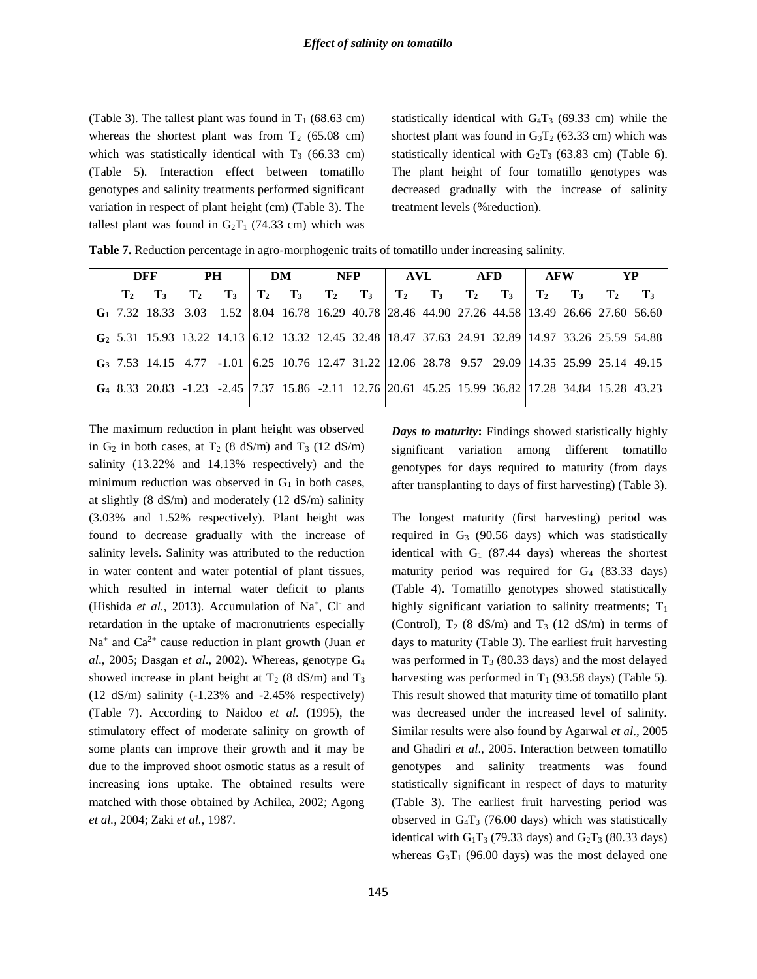(Table 3). The tallest plant was found in  $T_1$  (68.63 cm) whereas the shortest plant was from  $T_2$  (65.08 cm) which was statistically identical with  $T_3$  (66.33 cm) (Table 5). Interaction effect between tomatillo genotypes and salinity treatments performed significant variation in respect of plant height (cm) (Table 3). The tallest plant was found in  $G_2T_1$  (74.33 cm) which was

statistically identical with  $G_4T_3$  (69.33 cm) while the shortest plant was found in  $G_3T_2$  (63.33 cm) which was statistically identical with  $G_2T_3$  (63.83 cm) (Table 6). The plant height of four tomatillo genotypes was decreased gradually with the increase of salinity treatment levels (%reduction).

| DFF            |                                                                                                                                 | <b>PH</b>      |       | DM      |         | <b>NFP</b> |       | <b>AVL</b>              |         | AFD            |       | AFW            |         | YP             |         |
|----------------|---------------------------------------------------------------------------------------------------------------------------------|----------------|-------|---------|---------|------------|-------|-------------------------|---------|----------------|-------|----------------|---------|----------------|---------|
| $\mathbf{T_2}$ | $T_{3}$                                                                                                                         | $\mathbf{T}_2$ | $T_3$ | $T_{2}$ | $T_{3}$ | $T_2$      | $T_3$ | $\Gamma$ T <sub>2</sub> | $T_{3}$ | $\mathbf{T}_2$ | $T_3$ | $\mathbf{T_2}$ | $T_{3}$ | T <sub>2</sub> | $T_{3}$ |
|                | G <sub>1</sub> 7.32 18.33 3.03 1.52 8.04 16.78 16.29 40.78 28.46 44.90 27.26 44.58 13.49 26.66 27.60 56.60                      |                |       |         |         |            |       |                         |         |                |       |                |         |                |         |
|                | G <sub>2</sub> 5.31 15.93 13.22 14.13 6.12 13.32 12.45 32.48 18.47 37.63 24.91 32.89 14.97 33.26 25.59 54.88                    |                |       |         |         |            |       |                         |         |                |       |                |         |                |         |
|                | <b>G</b> <sub>3</sub> 7.53 14.15   4.77 -1.01   6.25 10.76   12.47 31.22   12.06 28.78   9.57 29.09   14.35 25.99   25.14 49.15 |                |       |         |         |            |       |                         |         |                |       |                |         |                |         |
|                | G <sub>4</sub> 8.33 20.83 -1.23 -2.45 7.37 15.86 -2.11 12.76 20.61 45.25 15.99 36.82 17.28 34.84 15.28 43.23                    |                |       |         |         |            |       |                         |         |                |       |                |         |                |         |

**Table 7.** Reduction percentage in agro-morphogenic traits of tomatillo under increasing salinity.

The maximum reduction in plant height was observed in  $G_2$  in both cases, at  $T_2$  (8 dS/m) and  $T_3$  (12 dS/m) salinity (13.22% and 14.13% respectively) and the minimum reduction was observed in  $G_1$  in both cases, at slightly (8 dS/m) and moderately (12 dS/m) salinity (3.03% and 1.52% respectively). Plant height was found to decrease gradually with the increase of salinity levels. Salinity was attributed to the reduction in water content and water potential of plant tissues, which resulted in internal water deficit to plants (Hishida et al., 2013). Accumulation of Na<sup>+</sup>, Cl<sup>-</sup> and retardation in the uptake of macronutrients especially Na<sup>+</sup> and Ca<sup>2+</sup> cause reduction in plant growth (Juan *et al*., 2005; Dasgan *et al*., 2002). Whereas, genotype G<sup>4</sup> showed increase in plant height at  $T_2$  (8 dS/m) and  $T_3$ (12 dS/m) salinity (-1.23% and -2.45% respectively) (Table 7). According to Naidoo *et al.* (1995), the stimulatory effect of moderate salinity on growth of some plants can improve their growth and it may be due to the improved shoot osmotic status as a result of increasing ions uptake. The obtained results were matched with those obtained by Achilea, 2002; Agong *et al.*, 2004; Zaki *et al.*, 1987.

*Days to maturity***:** Findings showed statistically highly significant variation among different tomatillo genotypes for days required to maturity (from days after transplanting to days of first harvesting) (Table 3).

The longest maturity (first harvesting) period was required in  $G_3$  (90.56 days) which was statistically identical with  $G_1$  (87.44 days) whereas the shortest maturity period was required for  $G_4$  (83.33 days) (Table 4). Tomatillo genotypes showed statistically highly significant variation to salinity treatments;  $T_1$ (Control),  $T_2$  (8 dS/m) and  $T_3$  (12 dS/m) in terms of days to maturity (Table 3). The earliest fruit harvesting was performed in  $T_3$  (80.33 days) and the most delayed harvesting was performed in  $T_1$  (93.58 days) (Table 5). This result showed that maturity time of tomatillo plant was decreased under the increased level of salinity. Similar results were also found by Agarwal *et al*., 2005 and Ghadiri *et al*., 2005. Interaction between tomatillo genotypes and salinity treatments was found statistically significant in respect of days to maturity (Table 3). The earliest fruit harvesting period was observed in  $G_4T_3$  (76.00 days) which was statistically identical with  $G_1T_3$  (79.33 days) and  $G_2T_3$  (80.33 days) whereas  $G_3T_1$  (96.00 days) was the most delayed one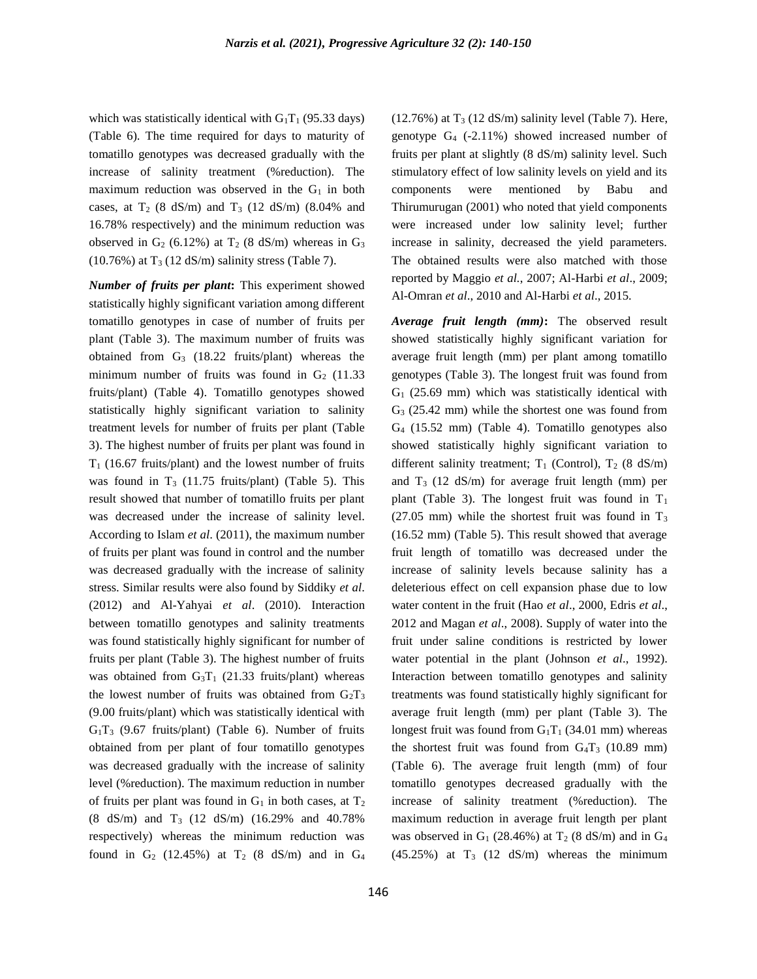which was statistically identical with  $G_1T_1$  (95.33 days) (Table 6). The time required for days to maturity of tomatillo genotypes was decreased gradually with the increase of salinity treatment (%reduction). The maximum reduction was observed in the  $G_1$  in both cases, at  $T_2$  (8 dS/m) and  $T_3$  (12 dS/m) (8.04% and 16.78% respectively) and the minimum reduction was observed in  $G_2$  (6.12%) at  $T_2$  (8 dS/m) whereas in  $G_3$  $(10.76\%)$  at T<sub>3</sub> (12 dS/m) salinity stress (Table 7).

*Number of fruits per plant***:** This experiment showed statistically highly significant variation among different tomatillo genotypes in case of number of fruits per plant (Table 3). The maximum number of fruits was obtained from  $G_3$  (18.22 fruits/plant) whereas the minimum number of fruits was found in  $G_2$  (11.33) fruits/plant) (Table 4). Tomatillo genotypes showed statistically highly significant variation to salinity treatment levels for number of fruits per plant (Table 3). The highest number of fruits per plant was found in  $T_1$  (16.67 fruits/plant) and the lowest number of fruits was found in  $T_3$  (11.75 fruits/plant) (Table 5). This result showed that number of tomatillo fruits per plant was decreased under the increase of salinity level. According to Islam *et al*. (2011), the maximum number of fruits per plant was found in control and the number was decreased gradually with the increase of salinity stress. Similar results were also found by Siddiky *et al*. (2012) and Al-Yahyai *et al*. (2010). Interaction between tomatillo genotypes and salinity treatments was found statistically highly significant for number of fruits per plant (Table 3). The highest number of fruits was obtained from  $G_3T_1$  (21.33 fruits/plant) whereas the lowest number of fruits was obtained from  $G_2T_3$ (9.00 fruits/plant) which was statistically identical with  $G_1T_3$  (9.67 fruits/plant) (Table 6). Number of fruits obtained from per plant of four tomatillo genotypes was decreased gradually with the increase of salinity level (%reduction). The maximum reduction in number of fruits per plant was found in  $G_1$  in both cases, at  $T_2$ (8 dS/m) and  $T_3$  (12 dS/m) (16.29% and 40.78%) respectively) whereas the minimum reduction was found in  $G_2$  (12.45%) at  $T_2$  (8 dS/m) and in  $G_4$ 

146

 $(12.76%)$  at T<sub>3</sub> (12 dS/m) salinity level (Table 7). Here, genotype  $G_4$  (-2.11%) showed increased number of fruits per plant at slightly (8 dS/m) salinity level. Such stimulatory effect of low salinity levels on yield and its components were mentioned by Babu and Thirumurugan (2001) who noted that yield components were increased under low salinity level; further increase in salinity, decreased the yield parameters. The obtained results were also matched with those reported by Maggio *et al.*, 2007; Al-Harbi *et al*., 2009; Al-Omran *et al*., 2010 and Al-Harbi *et al*., 2015.

*Average fruit length (mm)***:** The observed result showed statistically highly significant variation for average fruit length (mm) per plant among tomatillo genotypes (Table 3). The longest fruit was found from  $G_1$  (25.69 mm) which was statistically identical with G<sup>3</sup> (25.42 mm) while the shortest one was found from G<sup>4</sup> (15.52 mm) (Table 4). Tomatillo genotypes also showed statistically highly significant variation to different salinity treatment;  $T_1$  (Control),  $T_2$  (8 dS/m) and  $T_3$  (12 dS/m) for average fruit length (mm) per plant (Table 3). The longest fruit was found in  $T_1$ (27.05 mm) while the shortest fruit was found in  $T_3$ (16.52 mm) (Table 5). This result showed that average fruit length of tomatillo was decreased under the increase of salinity levels because salinity has a deleterious effect on cell expansion phase due to low water content in the fruit (Hao *et al*., 2000, Edris *et al*., 2012 and Magan *et al*., 2008). Supply of water into the fruit under saline conditions is restricted by lower water potential in the plant (Johnson *et al*., 1992). Interaction between tomatillo genotypes and salinity treatments was found statistically highly significant for average fruit length (mm) per plant (Table 3). The longest fruit was found from  $G_1T_1$  (34.01 mm) whereas the shortest fruit was found from  $G_4T_3$  (10.89 mm) (Table 6). The average fruit length (mm) of four tomatillo genotypes decreased gradually with the increase of salinity treatment (%reduction). The maximum reduction in average fruit length per plant was observed in  $G_1$  (28.46%) at  $T_2$  (8 dS/m) and in  $G_4$  $(45.25\%)$  at T<sub>3</sub>  $(12 \text{ dS/m})$  whereas the minimum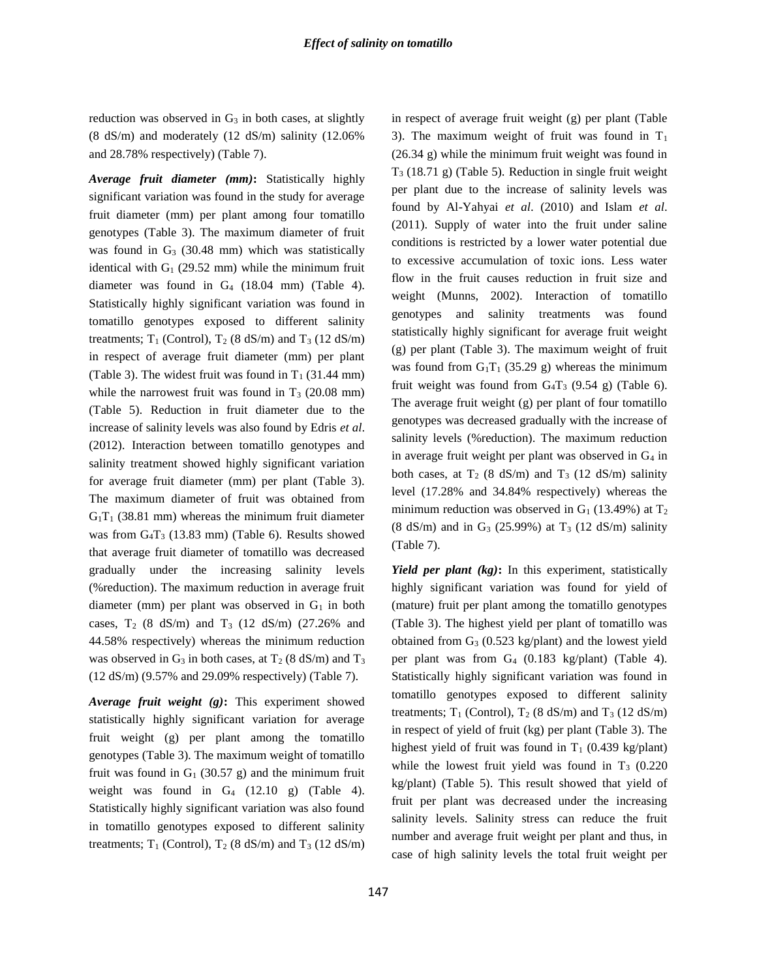reduction was observed in  $G_3$  in both cases, at slightly (8 dS/m) and moderately (12 dS/m) salinity (12.06% and 28.78% respectively) (Table 7).

*Average fruit diameter (mm)***:** Statistically highly significant variation was found in the study for average fruit diameter (mm) per plant among four tomatillo genotypes (Table 3). The maximum diameter of fruit was found in  $G_3$  (30.48 mm) which was statistically identical with  $G_1$  (29.52 mm) while the minimum fruit diameter was found in  $G_4$  (18.04 mm) (Table 4). Statistically highly significant variation was found in tomatillo genotypes exposed to different salinity treatments;  $T_1$  (Control),  $T_2$  (8 dS/m) and  $T_3$  (12 dS/m) in respect of average fruit diameter (mm) per plant (Table 3). The widest fruit was found in  $T_1$  (31.44 mm) while the narrowest fruit was found in  $T_3$  (20.08 mm) (Table 5). Reduction in fruit diameter due to the increase of salinity levels was also found by Edris *et al*. (2012). Interaction between tomatillo genotypes and salinity treatment showed highly significant variation for average fruit diameter (mm) per plant (Table 3). The maximum diameter of fruit was obtained from  $G_1T_1$  (38.81 mm) whereas the minimum fruit diameter was from  $G_4T_3$  (13.83 mm) (Table 6). Results showed that average fruit diameter of tomatillo was decreased gradually under the increasing salinity levels (%reduction). The maximum reduction in average fruit diameter (mm) per plant was observed in  $G_1$  in both cases,  $T_2$  (8 dS/m) and  $T_3$  (12 dS/m) (27.26% and 44.58% respectively) whereas the minimum reduction was observed in  $G_3$  in both cases, at  $T_2$  (8 dS/m) and  $T_3$ (12 dS/m) (9.57% and 29.09% respectively) (Table 7).

*Average fruit weight (g)***:** This experiment showed statistically highly significant variation for average fruit weight (g) per plant among the tomatillo genotypes (Table 3). The maximum weight of tomatillo fruit was found in  $G_1$  (30.57 g) and the minimum fruit weight was found in  $G_4$  (12.10 g) (Table 4). Statistically highly significant variation was also found in tomatillo genotypes exposed to different salinity treatments;  $T_1$  (Control),  $T_2$  (8 dS/m) and  $T_3$  (12 dS/m) in respect of average fruit weight (g) per plant (Table 3). The maximum weight of fruit was found in  $T_1$ (26.34 g) while the minimum fruit weight was found in T<sup>3</sup> (18.71 g) (Table 5). Reduction in single fruit weight per plant due to the increase of salinity levels was found by Al-Yahyai *et al*. (2010) and Islam *et al*. (2011). Supply of water into the fruit under saline conditions is restricted by a lower water potential due to excessive accumulation of toxic ions. Less water flow in the fruit causes reduction in fruit size and weight (Munns, 2002). Interaction of tomatillo genotypes and salinity treatments was found statistically highly significant for average fruit weight (g) per plant (Table 3). The maximum weight of fruit was found from  $G_1T_1$  (35.29 g) whereas the minimum fruit weight was found from  $G_4T_3$  (9.54 g) (Table 6). The average fruit weight (g) per plant of four tomatillo genotypes was decreased gradually with the increase of salinity levels (%reduction). The maximum reduction in average fruit weight per plant was observed in  $G_4$  in both cases, at  $T_2$  (8 dS/m) and  $T_3$  (12 dS/m) salinity level (17.28% and 34.84% respectively) whereas the minimum reduction was observed in  $G_1$  (13.49%) at  $T_2$  $(8 \text{ dS/m})$  and in G<sub>3</sub> (25.99%) at T<sub>3</sub> (12 dS/m) salinity (Table 7).

*Yield per plant (kg)***:** In this experiment, statistically highly significant variation was found for yield of (mature) fruit per plant among the tomatillo genotypes (Table 3). The highest yield per plant of tomatillo was obtained from  $G_3$  (0.523 kg/plant) and the lowest yield per plant was from G<sup>4</sup> (0.183 kg/plant) (Table 4). Statistically highly significant variation was found in tomatillo genotypes exposed to different salinity treatments;  $T_1$  (Control),  $T_2$  (8 dS/m) and  $T_3$  (12 dS/m) in respect of yield of fruit (kg) per plant (Table 3). The highest yield of fruit was found in  $T_1$  (0.439 kg/plant) while the lowest fruit yield was found in  $T_3$  (0.220) kg/plant) (Table 5). This result showed that yield of fruit per plant was decreased under the increasing salinity levels. Salinity stress can reduce the fruit number and average fruit weight per plant and thus, in case of high salinity levels the total fruit weight per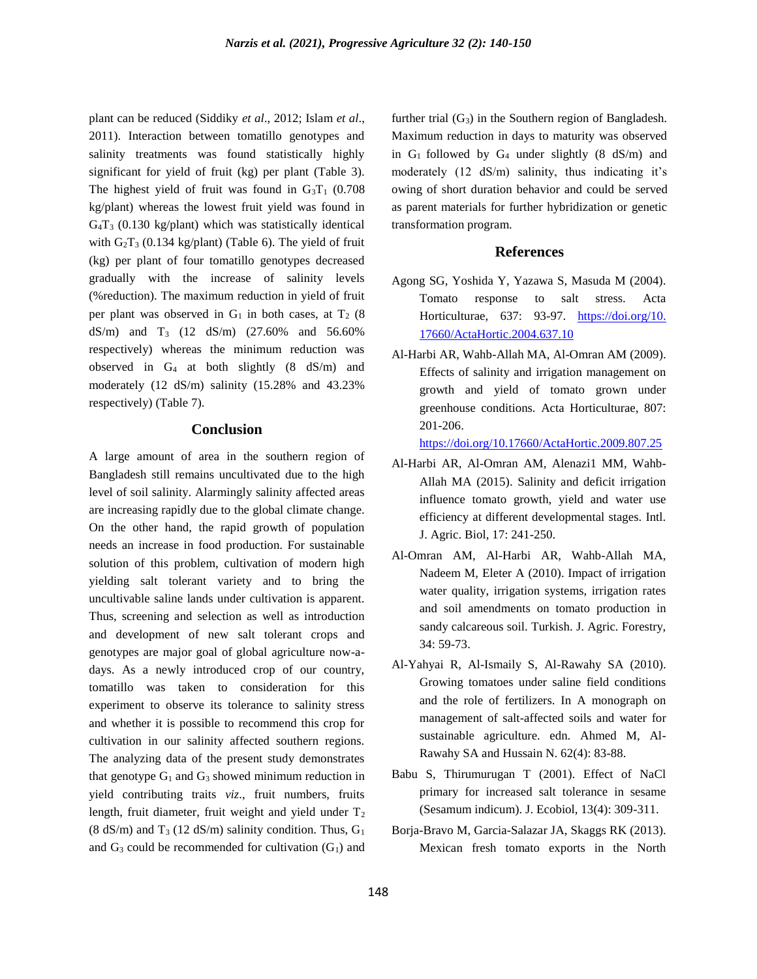plant can be reduced (Siddiky *et al*., 2012; Islam *et al*., 2011). Interaction between tomatillo genotypes and salinity treatments was found statistically highly significant for yield of fruit (kg) per plant (Table 3). The highest yield of fruit was found in  $G_3T_1$  (0.708) kg/plant) whereas the lowest fruit yield was found in  $G_4T_3$  (0.130 kg/plant) which was statistically identical with  $G_2T_3$  (0.134 kg/plant) (Table 6). The yield of fruit (kg) per plant of four tomatillo genotypes decreased gradually with the increase of salinity levels (%reduction). The maximum reduction in yield of fruit per plant was observed in  $G_1$  in both cases, at  $T_2$  (8) dS/m) and  $T_3$  (12 dS/m) (27.60% and 56.60% respectively) whereas the minimum reduction was observed in  $G_4$  at both slightly  $(8 \text{ dS/m})$  and moderately (12 dS/m) salinity (15.28% and 43.23% respectively) (Table 7).

### **Conclusion**

A large amount of area in the southern region of Bangladesh still remains uncultivated due to the high level of soil salinity. Alarmingly salinity affected areas are increasing rapidly due to the global climate change. On the other hand, the rapid growth of population needs an increase in food production. For sustainable solution of this problem, cultivation of modern high yielding salt tolerant variety and to bring the uncultivable saline lands under cultivation is apparent. Thus, screening and selection as well as introduction and development of new salt tolerant crops and genotypes are major goal of global agriculture now-adays. As a newly introduced crop of our country, tomatillo was taken to consideration for this experiment to observe its tolerance to salinity stress and whether it is possible to recommend this crop for cultivation in our salinity affected southern regions. The analyzing data of the present study demonstrates that genotype  $G_1$  and  $G_3$  showed minimum reduction in yield contributing traits *viz*., fruit numbers, fruits length, fruit diameter, fruit weight and yield under  $T_2$ (8 dS/m) and T<sub>3</sub> (12 dS/m) salinity condition. Thus,  $G_1$ and  $G_3$  could be recommended for cultivation  $(G_1)$  and

further trial  $(G_3)$  in the Southern region of Bangladesh. Maximum reduction in days to maturity was observed in  $G_1$  followed by  $G_4$  under slightly (8 dS/m) and moderately (12 dS/m) salinity, thus indicating it's owing of short duration behavior and could be served as parent materials for further hybridization or genetic transformation program.

### **References**

- Agong SG, Yoshida Y, Yazawa S, Masuda M (2004). Tomato response to salt stress. Acta Horticulturae, 637: 93-97. [https://doi.org/10.](https://doi.org/10.%2017660/ActaHortic.2004.637.10)  [17660/ActaHortic.2004.637.10](https://doi.org/10.%2017660/ActaHortic.2004.637.10)
- Al-Harbi AR, Wahb-Allah MA, Al-Omran AM (2009). Effects of salinity and irrigation management on growth and yield of tomato grown under greenhouse conditions. Acta Horticulturae, 807: 201-206.

<https://doi.org/10.17660/ActaHortic.2009.807.25>

- Al-Harbi AR, Al-Omran AM, Alenazi1 MM, Wahb-Allah MA (2015). Salinity and deficit irrigation influence tomato growth, yield and water use efficiency at different developmental stages. Intl. J. Agric. Biol, 17: 241-250.
- Al-Omran AM, Al-Harbi AR, Wahb-Allah MA, Nadeem M, Eleter A (2010). Impact of irrigation water quality, irrigation systems, irrigation rates and soil amendments on tomato production in sandy calcareous soil. Turkish. J. Agric. Forestry, 34: 59-73.
- Al-Yahyai R, Al-Ismaily S, Al-Rawahy SA (2010). Growing tomatoes under saline field conditions and the role of fertilizers. In A monograph on management of salt-affected soils and water for sustainable agriculture. edn. Ahmed M, Al-Rawahy SA and Hussain N. 62(4): 83-88.
- Babu S, Thirumurugan T (2001). Effect of NaCl primary for increased salt tolerance in sesame (Sesamum indicum). J. Ecobiol, 13(4): 309-311.
- Borja-Bravo M, Garcia-Salazar JA, Skaggs RK (2013). Mexican fresh tomato exports in the North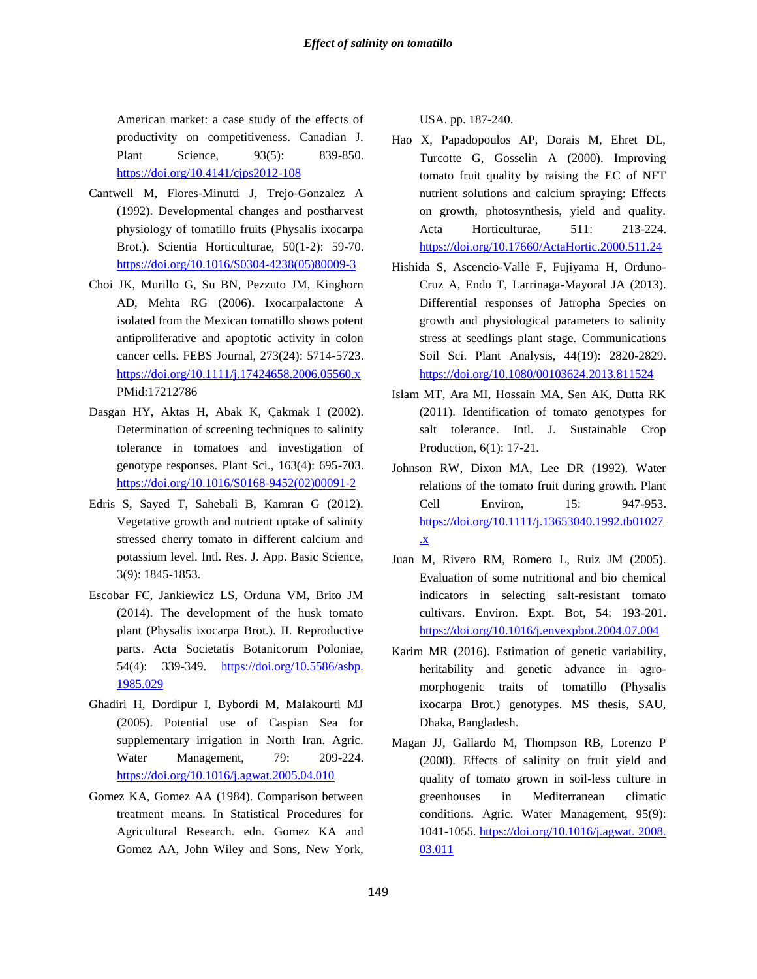American market: a case study of the effects of productivity on competitiveness. Canadian J. Plant Science, 93(5): 839-850. <https://doi.org/10.4141/cjps2012-108>

- Cantwell M, Flores-Minutti J, Trejo-Gonzalez A (1992). Developmental changes and postharvest physiology of tomatillo fruits (Physalis ixocarpa Brot.). Scientia Horticulturae, 50(1-2): 59-70. [https://doi.org/10.1016/S0304-4238\(05\)80009-3](https://doi.org/10.1016/S0304-4238(05)80009-3)
- Choi JK, Murillo G, Su BN, Pezzuto JM, Kinghorn AD, Mehta RG (2006). Ixocarpalactone A isolated from the Mexican tomatillo shows potent antiproliferative and apoptotic activity in colon cancer cells. FEBS Journal, 273(24): 5714-5723. <https://doi.org/10.1111/j.17424658.2006.05560.x> PMid:17212786
- Dasgan HY, Aktas H, Abak K, Çakmak I (2002). Determination of screening techniques to salinity tolerance in tomatoes and investigation of genotype responses. Plant Sci., 163(4): 695-703. [https://doi.org/10.1016/S0168-9452\(02\)00091-2](https://doi.org/10.1016/S0168-9452(02)00091-2)
- Edris S, Sayed T, Sahebali B, Kamran G (2012). Vegetative growth and nutrient uptake of salinity stressed cherry tomato in different calcium and potassium level. Intl. Res. J. App. Basic Science, 3(9): 1845-1853.
- Escobar FC, Jankiewicz LS, Orduna VM, Brito JM (2014). The development of the husk tomato plant (Physalis ixocarpa Brot.). II. Reproductive parts. Acta Societatis Botanicorum Poloniae, 54(4): 339-349. [https://doi.org/10.5586/asbp.](https://doi.org/10.5586/asbp.%201985.029)  [1985.029](https://doi.org/10.5586/asbp.%201985.029)
- Ghadiri H, Dordipur I, Bybordi M, Malakourti MJ (2005). Potential use of Caspian Sea for supplementary irrigation in North Iran. Agric. Water Management, 79: 209-224. <https://doi.org/10.1016/j.agwat.2005.04.010>
- Gomez KA, Gomez AA (1984). Comparison between treatment means. In Statistical Procedures for Agricultural Research. edn. Gomez KA and Gomez AA, John Wiley and Sons, New York,

USA. pp. 187-240.

- Hao X, Papadopoulos AP, Dorais M, Ehret DL, Turcotte G, Gosselin A (2000). Improving tomato fruit quality by raising the EC of NFT nutrient solutions and calcium spraying: Effects on growth, photosynthesis, yield and quality. Acta Horticulturae, 511: 213-224. <https://doi.org/10.17660/ActaHortic.2000.511.24>
- Hishida S, Ascencio-Valle F, Fujiyama H, Orduno-Cruz A, Endo T, Larrinaga-Mayoral JA (2013). Differential responses of Jatropha Species on growth and physiological parameters to salinity stress at seedlings plant stage. Communications Soil Sci. Plant Analysis, 44(19): 2820-2829. <https://doi.org/10.1080/00103624.2013.811524>
- Islam MT, Ara MI, Hossain MA, Sen AK, Dutta RK (2011). Identification of tomato genotypes for salt tolerance. Intl. J. Sustainable Crop Production, 6(1): 17-21.
- Johnson RW, Dixon MA, Lee DR (1992). Water relations of the tomato fruit during growth. Plant Cell Environ, 15: 947-953. [https://doi.org/10.1111/j.13653040.1992.tb01027](https://doi.org/10.1111/j.13653040.1992.tb01027.x) [.x](https://doi.org/10.1111/j.13653040.1992.tb01027.x)
- Juan M, Rivero RM, Romero L, Ruiz JM (2005). Evaluation of some nutritional and bio chemical indicators in selecting salt-resistant tomato cultivars. Environ. Expt. Bot, 54: 193-201. <https://doi.org/10.1016/j.envexpbot.2004.07.004>
- Karim MR (2016). Estimation of genetic variability, heritability and genetic advance in agromorphogenic traits of tomatillo (Physalis ixocarpa Brot.) genotypes. MS thesis, SAU, Dhaka, Bangladesh.
- Magan JJ, Gallardo M, Thompson RB, Lorenzo P (2008). Effects of salinity on fruit yield and quality of tomato grown in soil-less culture in greenhouses in Mediterranean climatic conditions. Agric. Water Management, 95(9): 1041-1055[. https://doi.org/10.1016/j.agwat. 2008.](https://doi.org/10.1016/j.agwat.%202008.%2003.011)  [03.011](https://doi.org/10.1016/j.agwat.%202008.%2003.011)